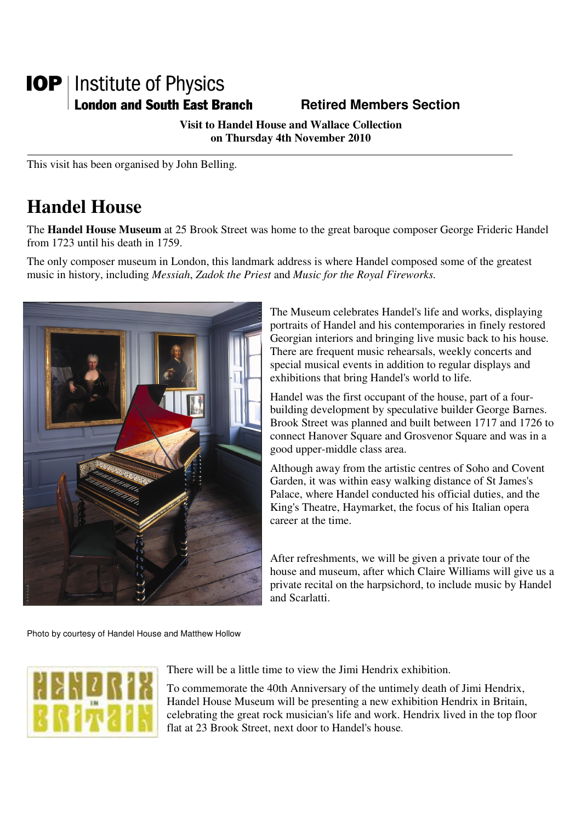## **IOP** | Institute of Physics **London and South East Branch Famely Retired Members Section**

**Visit to Handel House and Wallace Collection on Thursday 4th November 2010** 

This visit has been organised by John Belling.

## **Handel House**

The **Handel House Museum** at 25 Brook Street was home to the great baroque composer George Frideric Handel from 1723 until his death in 1759.

The only composer museum in London, this landmark address is where Handel composed some of the greatest music in history, including *Messiah*, *Zadok the Priest* and *Music for the Royal Fireworks.* 



The Museum celebrates Handel's life and works, displaying portraits of Handel and his contemporaries in finely restored Georgian interiors and bringing live music back to his house. There are frequent music rehearsals, weekly concerts and special musical events in addition to regular displays and exhibitions that bring Handel's world to life.

Handel was the first occupant of the house, part of a fourbuilding development by speculative builder George Barnes. Brook Street was planned and built between 1717 and 1726 to connect Hanover Square and Grosvenor Square and was in a good upper-middle class area.

Although away from the artistic centres of Soho and Covent Garden, it was within easy walking distance of St James's Palace, where Handel conducted his official duties, and the King's Theatre, Haymarket, the focus of his Italian opera career at the time.

After refreshments, we will be given a private tour of the house and museum, after which Claire Williams will give us a private recital on the harpsichord, to include music by Handel and Scarlatti.

Photo by courtesy of Handel House and Matthew Hollow



There will be a little time to view the Jimi Hendrix exhibition.

To commemorate the 40th Anniversary of the untimely death of Jimi Hendrix, Handel House Museum will be presenting a new exhibition Hendrix in Britain, celebrating the great rock musician's life and work. Hendrix lived in the top floor flat at 23 Brook Street, next door to Handel's house.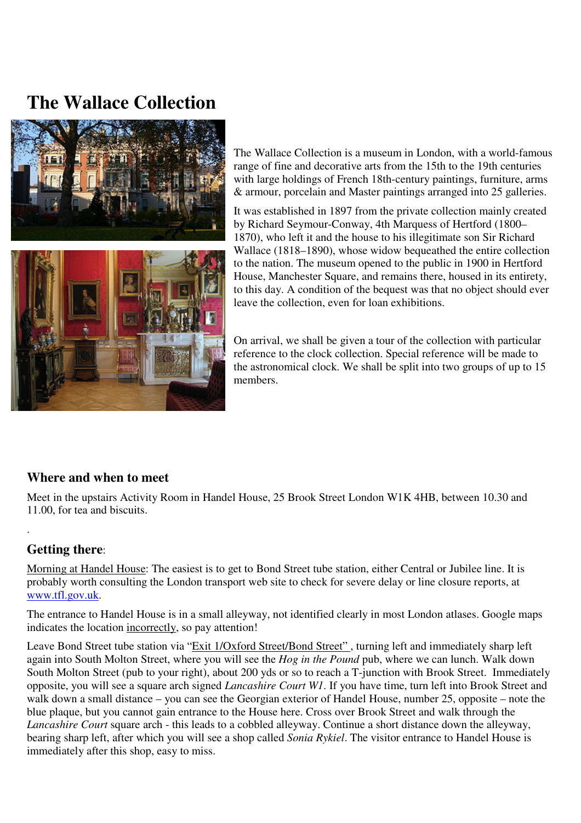# **The Wallace Collection**



The Wallace Collection is a museum in London, with a world-famous range of fine and decorative arts from the 15th to the 19th centuries with large holdings of French 18th-century paintings, furniture, arms & armour, porcelain and Master paintings arranged into 25 galleries.

It was established in 1897 from the private collection mainly created by Richard Seymour-Conway, 4th Marquess of Hertford (1800– 1870), who left it and the house to his illegitimate son Sir Richard Wallace (1818–1890), whose widow bequeathed the entire collection to the nation. The museum opened to the public in 1900 in Hertford House, Manchester Square, and remains there, housed in its entirety, to this day. A condition of the bequest was that no object should ever leave the collection, even for loan exhibitions.

On arrival, we shall be given a tour of the collection with particular reference to the clock collection. Special reference will be made to the astronomical clock. We shall be split into two groups of up to 15 members.

### **Where and when to meet**

Meet in the upstairs Activity Room in Handel House, 25 Brook Street London W1K 4HB, between 10.30 and 11.00, for tea and biscuits.

### **Getting there**:

.

Morning at Handel House: The easiest is to get to Bond Street tube station, either Central or Jubilee line. It is probably worth consulting the London transport web site to check for severe delay or line closure reports, at www.tfl.gov.uk.

The entrance to Handel House is in a small alleyway, not identified clearly in most London atlases. Google maps indicates the location incorrectly, so pay attention!

Leave Bond Street tube station via "Exit 1/Oxford Street/Bond Street" , turning left and immediately sharp left again into South Molton Street, where you will see the *Hog in the Pound* pub, where we can lunch. Walk down South Molton Street (pub to your right), about 200 yds or so to reach a T-junction with Brook Street. Immediately opposite, you will see a square arch signed *Lancashire Court W1*. If you have time, turn left into Brook Street and walk down a small distance – you can see the Georgian exterior of Handel House, number 25, opposite – note the blue plaque, but you cannot gain entrance to the House here. Cross over Brook Street and walk through the *Lancashire Court* square arch - this leads to a cobbled alleyway. Continue a short distance down the alleyway, bearing sharp left, after which you will see a shop called *Sonia Rykiel*. The visitor entrance to Handel House is immediately after this shop, easy to miss.